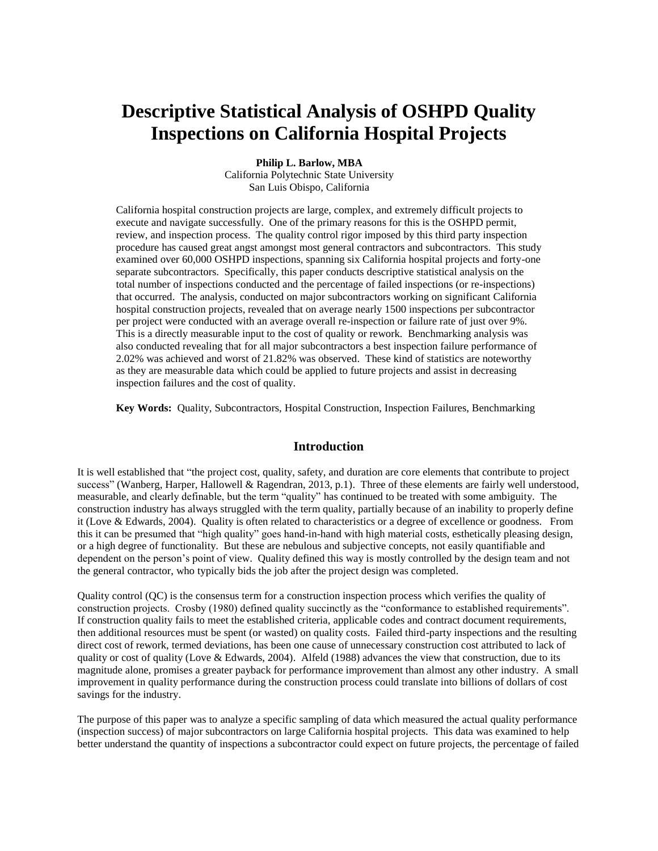# **Descriptive Statistical Analysis of OSHPD Quality Inspections on California Hospital Projects**

**Philip L. Barlow, MBA**

California Polytechnic State University San Luis Obispo, California

California hospital construction projects are large, complex, and extremely difficult projects to execute and navigate successfully. One of the primary reasons for this is the OSHPD permit, review, and inspection process. The quality control rigor imposed by this third party inspection procedure has caused great angst amongst most general contractors and subcontractors. This study examined over 60,000 OSHPD inspections, spanning six California hospital projects and forty-one separate subcontractors. Specifically, this paper conducts descriptive statistical analysis on the total number of inspections conducted and the percentage of failed inspections (or re-inspections) that occurred. The analysis, conducted on major subcontractors working on significant California hospital construction projects, revealed that on average nearly 1500 inspections per subcontractor per project were conducted with an average overall re-inspection or failure rate of just over 9%. This is a directly measurable input to the cost of quality or rework. Benchmarking analysis was also conducted revealing that for all major subcontractors a best inspection failure performance of 2.02% was achieved and worst of 21.82% was observed. These kind of statistics are noteworthy as they are measurable data which could be applied to future projects and assist in decreasing inspection failures and the cost of quality.

**Key Words:** Quality, Subcontractors, Hospital Construction, Inspection Failures, Benchmarking

### **Introduction**

It is well established that "the project cost, quality, safety, and duration are core elements that contribute to project success" (Wanberg, Harper, Hallowell & Ragendran, 2013, p.1). Three of these elements are fairly well understood, measurable, and clearly definable, but the term "quality" has continued to be treated with some ambiguity. The construction industry has always struggled with the term quality, partially because of an inability to properly define it (Love & Edwards, 2004). Quality is often related to characteristics or a degree of excellence or goodness. From this it can be presumed that "high quality" goes hand-in-hand with high material costs, esthetically pleasing design, or a high degree of functionality. But these are nebulous and subjective concepts, not easily quantifiable and dependent on the person's point of view. Quality defined this way is mostly controlled by the design team and not the general contractor, who typically bids the job after the project design was completed.

Quality control (QC) is the consensus term for a construction inspection process which verifies the quality of construction projects. Crosby (1980) defined quality succinctly as the "conformance to established requirements". If construction quality fails to meet the established criteria, applicable codes and contract document requirements, then additional resources must be spent (or wasted) on quality costs. Failed third-party inspections and the resulting direct cost of rework, termed deviations, has been one cause of unnecessary construction cost attributed to lack of quality or cost of quality (Love & Edwards, 2004). Alfeld (1988) advances the view that construction, due to its magnitude alone, promises a greater payback for performance improvement than almost any other industry. A small improvement in quality performance during the construction process could translate into billions of dollars of cost savings for the industry.

The purpose of this paper was to analyze a specific sampling of data which measured the actual quality performance (inspection success) of major subcontractors on large California hospital projects. This data was examined to help better understand the quantity of inspections a subcontractor could expect on future projects, the percentage of failed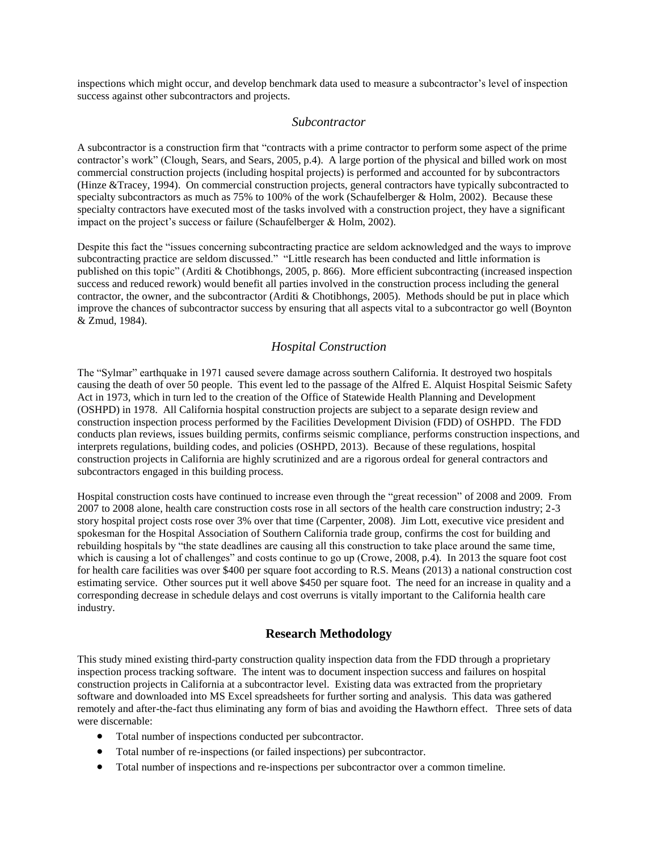inspections which might occur, and develop benchmark data used to measure a subcontractor's level of inspection success against other subcontractors and projects.

#### *Subcontractor*

A subcontractor is a construction firm that "contracts with a prime contractor to perform some aspect of the prime contractor's work" (Clough, Sears, and Sears, 2005, p.4). A large portion of the physical and billed work on most commercial construction projects (including hospital projects) is performed and accounted for by subcontractors (Hinze &Tracey, 1994). On commercial construction projects, general contractors have typically subcontracted to specialty subcontractors as much as 75% to 100% of the work (Schaufelberger & Holm, 2002). Because these specialty contractors have executed most of the tasks involved with a construction project, they have a significant impact on the project's success or failure (Schaufelberger & Holm, 2002).

Despite this fact the "issues concerning subcontracting practice are seldom acknowledged and the ways to improve subcontracting practice are seldom discussed." "Little research has been conducted and little information is published on this topic" (Arditi & Chotibhongs, 2005, p. 866). More efficient subcontracting (increased inspection success and reduced rework) would benefit all parties involved in the construction process including the general contractor, the owner, and the subcontractor (Arditi & Chotibhongs, 2005). Methods should be put in place which improve the chances of subcontractor success by ensuring that all aspects vital to a subcontractor go well (Boynton & Zmud, 1984).

### *Hospital Construction*

The "Sylmar" earthquake in 1971 caused severe damage across southern California. It destroyed two hospitals causing the death of over 50 people. This event led to the passage of the Alfred E. Alquist Hospital Seismic Safety Act in 1973, which in turn led to the creation of the Office of Statewide Health Planning and Development (OSHPD) in 1978. All California hospital construction projects are subject to a separate design review and construction inspection process performed by the Facilities Development Division (FDD) of OSHPD. The FDD conducts plan reviews, issues building permits, confirms seismic compliance, performs construction inspections, and interprets regulations, building codes, and policies (OSHPD, 2013). Because of these regulations, hospital construction projects in California are highly scrutinized and are a rigorous ordeal for general contractors and subcontractors engaged in this building process.

Hospital construction costs have continued to increase even through the "great recession" of 2008 and 2009. From 2007 to 2008 alone, health care construction costs rose in all sectors of the health care construction industry; 2-3 story hospital project costs rose over 3% over that time (Carpenter, 2008). Jim Lott, executive vice president and spokesman for the Hospital Association of Southern California trade group, confirms the cost for building and rebuilding hospitals by "the state deadlines are causing all this construction to take place around the same time, which is causing a lot of challenges" and costs continue to go up (Crowe, 2008, p.4). In 2013 the square foot cost for health care facilities was over \$400 per square foot according to R.S. Means (2013) a national construction cost estimating service. Other sources put it well above \$450 per square foot. The need for an increase in quality and a corresponding decrease in schedule delays and cost overruns is vitally important to the California health care industry.

#### **Research Methodology**

This study mined existing third-party construction quality inspection data from the FDD through a proprietary inspection process tracking software. The intent was to document inspection success and failures on hospital construction projects in California at a subcontractor level. Existing data was extracted from the proprietary software and downloaded into MS Excel spreadsheets for further sorting and analysis. This data was gathered remotely and after-the-fact thus eliminating any form of bias and avoiding the Hawthorn effect. Three sets of data were discernable:

- Total number of inspections conducted per subcontractor.
- Total number of re-inspections (or failed inspections) per subcontractor.
- Total number of inspections and re-inspections per subcontractor over a common timeline.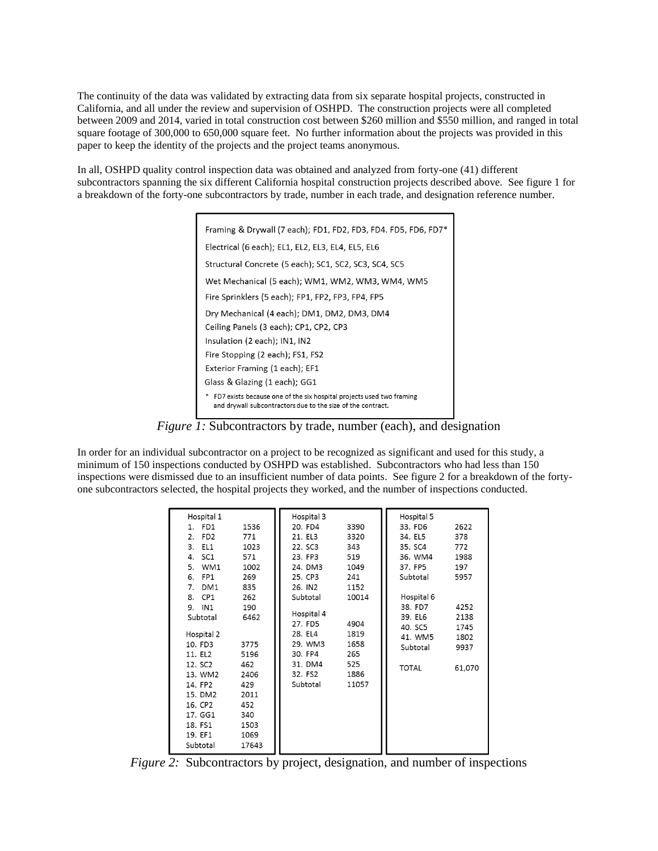The continuity of the data was validated by extracting data from six separate hospital projects, constructed in California, and all under the review and supervision of OSHPD. The construction projects were all completed between 2009 and 2014, varied in total construction cost between \$260 million and \$550 million, and ranged in total square footage of 300,000 to 650,000 square feet. No further information about the projects was provided in this paper to keep the identity of the projects and the project teams anonymous.

In all, OSHPD quality control inspection data was obtained and analyzed from forty-one (41) different subcontractors spanning the six different California hospital construction projects described above. See figure 1 for a breakdown of the forty-one subcontractors by trade, number in each trade, and designation reference number.

| Framing & Drywall (7 each); FD1, FD2, FD3, FD4. FD5, FD6, FD7*                                                                        |  |  |  |  |  |  |
|---------------------------------------------------------------------------------------------------------------------------------------|--|--|--|--|--|--|
| Electrical (6 each); EL1, EL2, EL3, EL4, EL5, EL6                                                                                     |  |  |  |  |  |  |
| Structural Concrete (5 each); SC1, SC2, SC3, SC4, SC5                                                                                 |  |  |  |  |  |  |
| Wet Mechanical (5 each); WM1, WM2, WM3, WM4, WM5                                                                                      |  |  |  |  |  |  |
| Fire Sprinklers (5 each); FP1, FP2, FP3, FP4, FP5                                                                                     |  |  |  |  |  |  |
| Dry Mechanical (4 each); DM1, DM2, DM3, DM4                                                                                           |  |  |  |  |  |  |
| Ceiling Panels (3 each); CP1, CP2, CP3                                                                                                |  |  |  |  |  |  |
| Insulation (2 each); IN1, IN2                                                                                                         |  |  |  |  |  |  |
| Fire Stopping (2 each); FS1, FS2                                                                                                      |  |  |  |  |  |  |
| Exterior Framing (1 each); EF1                                                                                                        |  |  |  |  |  |  |
| Glass & Glazing (1 each); GG1                                                                                                         |  |  |  |  |  |  |
| * FD7 exists because one of the six hospital projects used two framing<br>and drywall subcontractors due to the size of the contract. |  |  |  |  |  |  |

*Figure 1:* Subcontractors by trade, number (each), and designation

In order for an individual subcontractor on a project to be recognized as significant and used for this study, a minimum of 150 inspections conducted by OSHPD was established. Subcontractors who had less than 150 inspections were dismissed due to an insufficient number of data points. See figure 2 for a breakdown of the fortyone subcontractors selected, the hospital projects they worked, and the number of inspections conducted.

| 31. DM4<br>12. SC2<br>462<br><b>TOTAL</b><br>61,070<br>32. FS2<br>1886<br>13. WM2<br>2406<br>Subtotal<br>11057<br>14. FP2<br>429<br>15. DM2<br>2011<br>16. CP2<br>452<br>340<br>17. GG1<br>18. FS1<br>1503<br>19. EF1<br>1069 | EL1<br>3.<br>1023<br>SC <sub>1</sub><br>571<br>4.<br>5.<br>WM1<br>1002<br>FP1<br>269<br>6.<br>7.<br>DM <sub>1</sub><br>835<br>CP <sub>1</sub><br>8.<br>262<br>IN <sub>1</sub><br>190<br>9.<br>Subtotal<br>6462<br>Hospital 2<br>10. FD3<br>3775<br>11. EL2<br>5196 | 22. SC3<br>343<br>23. FP3<br>519<br>24. DM3<br>1049<br>25. CP3<br>241<br>26. IN2<br>1152<br>10014<br>Subtotal<br>Hospital 4<br>27. FD5<br>4904<br>28. EL4<br>1819<br>29. WM3<br>1658<br>30. FP4<br>265<br>525 | 35. SC4<br>36. WM4<br>37. FP5<br>Subtotal<br>Hospital 6<br>38. FD7<br>39. EL6<br>40. SC5<br>41. WM5<br>Subtotal | 772<br>1988<br>197<br>5957<br>4252<br>2138<br>1745<br>1802<br>9937 |
|-------------------------------------------------------------------------------------------------------------------------------------------------------------------------------------------------------------------------------|--------------------------------------------------------------------------------------------------------------------------------------------------------------------------------------------------------------------------------------------------------------------|---------------------------------------------------------------------------------------------------------------------------------------------------------------------------------------------------------------|-----------------------------------------------------------------------------------------------------------------|--------------------------------------------------------------------|
|-------------------------------------------------------------------------------------------------------------------------------------------------------------------------------------------------------------------------------|--------------------------------------------------------------------------------------------------------------------------------------------------------------------------------------------------------------------------------------------------------------------|---------------------------------------------------------------------------------------------------------------------------------------------------------------------------------------------------------------|-----------------------------------------------------------------------------------------------------------------|--------------------------------------------------------------------|

*Figure 2:* Subcontractors by project, designation, and number of inspections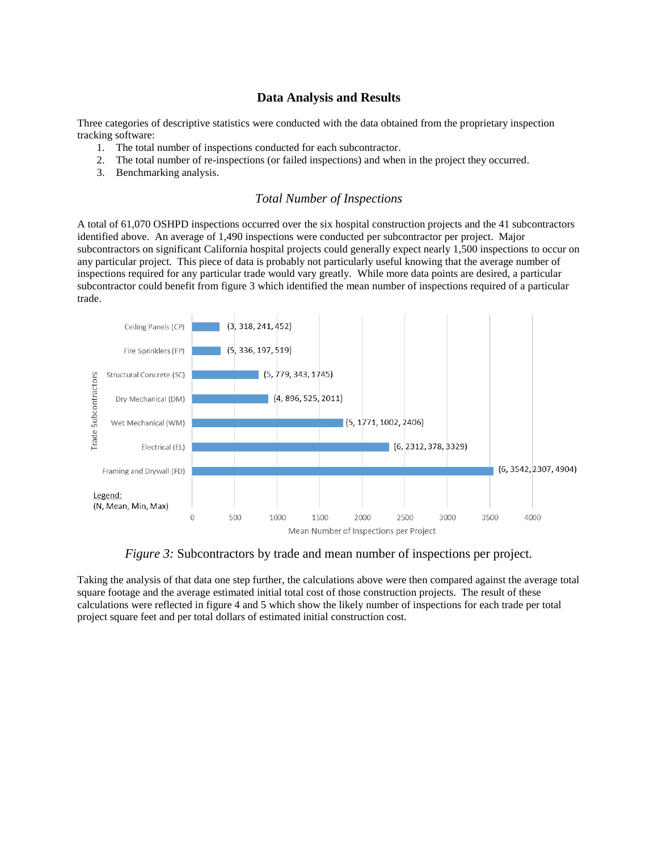## **Data Analysis and Results**

Three categories of descriptive statistics were conducted with the data obtained from the proprietary inspection tracking software:

- 1. The total number of inspections conducted for each subcontractor.
- 2. The total number of re-inspections (or failed inspections) and when in the project they occurred.
- 3. Benchmarking analysis.

## *Total Number of Inspections*

A total of 61,070 OSHPD inspections occurred over the six hospital construction projects and the 41 subcontractors identified above. An average of 1,490 inspections were conducted per subcontractor per project. Major subcontractors on significant California hospital projects could generally expect nearly 1,500 inspections to occur on any particular project. This piece of data is probably not particularly useful knowing that the average number of inspections required for any particular trade would vary greatly. While more data points are desired, a particular subcontractor could benefit from figure 3 which identified the mean number of inspections required of a particular trade.



*Figure 3:* Subcontractors by trade and mean number of inspections per project.

Taking the analysis of that data one step further, the calculations above were then compared against the average total square footage and the average estimated initial total cost of those construction projects. The result of these calculations were reflected in figure 4 and 5 which show the likely number of inspections for each trade per total project square feet and per total dollars of estimated initial construction cost.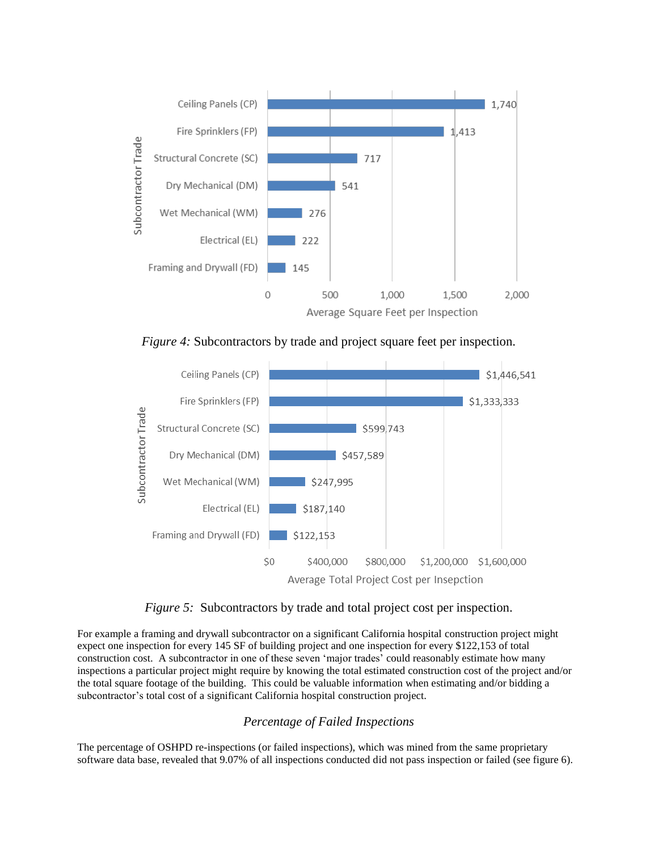

*Figure 4:* Subcontractors by trade and project square feet per inspection.



*Figure 5:* Subcontractors by trade and total project cost per inspection.

For example a framing and drywall subcontractor on a significant California hospital construction project might expect one inspection for every 145 SF of building project and one inspection for every \$122,153 of total construction cost. A subcontractor in one of these seven 'major trades' could reasonably estimate how many inspections a particular project might require by knowing the total estimated construction cost of the project and/or the total square footage of the building. This could be valuable information when estimating and/or bidding a subcontractor's total cost of a significant California hospital construction project.

# *Percentage of Failed Inspections*

The percentage of OSHPD re-inspections (or failed inspections), which was mined from the same proprietary software data base, revealed that 9.07% of all inspections conducted did not pass inspection or failed (see figure 6).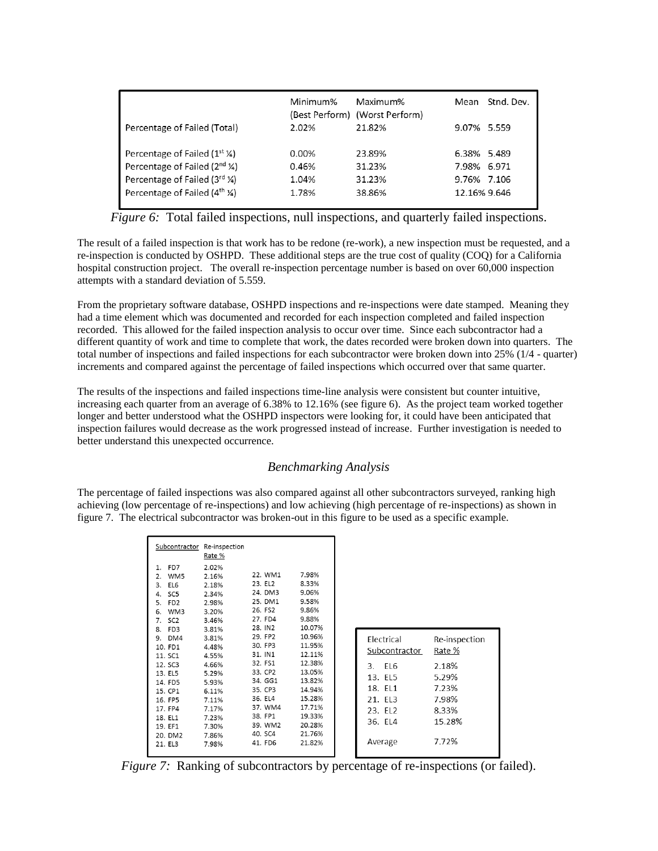|                                                     | Minimum% | Maximum%<br>(Best Perform) (Worst Perform) | Mean         | Stnd. Dev. |
|-----------------------------------------------------|----------|--------------------------------------------|--------------|------------|
| Percentage of Failed (Total)                        | 2.02%    | 21.82%                                     | 9.07% 5.559  |            |
| Percentage of Failed $(1^{st} \, \mathcal{V})$      | 0.00%    | 23.89%                                     | 6.38% 5.489  |            |
| Percentage of Failed (2 <sup>nd</sup> ¼)            | 0.46%    | 31.23%                                     | 7.98% 6.971  |            |
| Percentage of Failed $(3^{rd} \, \frac{\gamma}{4})$ | 1.04%    | 31.23%                                     | 9.76% 7.106  |            |
| Percentage of Failed $(4^{th} \, \text{M})$         | 1.78%    | 38.86%                                     | 12.16% 9.646 |            |

*Figure 6:* Total failed inspections, null inspections, and quarterly failed inspections.

The result of a failed inspection is that work has to be redone (re-work), a new inspection must be requested, and a re-inspection is conducted by OSHPD. These additional steps are the true cost of quality (COQ) for a California hospital construction project. The overall re-inspection percentage number is based on over 60,000 inspection attempts with a standard deviation of 5.559.

From the proprietary software database, OSHPD inspections and re-inspections were date stamped. Meaning they had a time element which was documented and recorded for each inspection completed and failed inspection recorded. This allowed for the failed inspection analysis to occur over time. Since each subcontractor had a different quantity of work and time to complete that work, the dates recorded were broken down into quarters. The total number of inspections and failed inspections for each subcontractor were broken down into 25% (1/4 - quarter) increments and compared against the percentage of failed inspections which occurred over that same quarter.

The results of the inspections and failed inspections time-line analysis were consistent but counter intuitive, increasing each quarter from an average of 6.38% to 12.16% (see figure 6). As the project team worked together longer and better understood what the OSHPD inspectors were looking for, it could have been anticipated that inspection failures would decrease as the work progressed instead of increase. Further investigation is needed to better understand this unexpected occurrence.

# *Benchmarking Analysis*

The percentage of failed inspections was also compared against all other subcontractors surveyed, ranking high achieving (low percentage of re-inspections) and low achieving (high percentage of re-inspections) as shown in figure 7. The electrical subcontractor was broken-out in this figure to be used as a specific example.

| Subcontractor                                                                                                                                                                                                                                  | Re-inspection<br>Rate %                                                                                                                      |                                                                                                                                                                   |                                                                                                                                              |                                                                           |                                                             |
|------------------------------------------------------------------------------------------------------------------------------------------------------------------------------------------------------------------------------------------------|----------------------------------------------------------------------------------------------------------------------------------------------|-------------------------------------------------------------------------------------------------------------------------------------------------------------------|----------------------------------------------------------------------------------------------------------------------------------------------|---------------------------------------------------------------------------|-------------------------------------------------------------|
| FD7<br>1.<br>WM5<br>2.<br>EL6<br>3.<br>SC <sub>5</sub><br>4.<br>FD <sub>2</sub><br>5.<br>WM3<br>6.<br>SC <sub>2</sub><br>7.<br>FD <sub>3</sub><br>8.<br>DM4<br>9.<br>10. FD1<br>11. SC1<br>12. SC3<br>13. EL5<br>14. FD5<br>15. CP1<br>16. FP5 | 2.02%<br>2.16%<br>2.18%<br>2.34%<br>2.98%<br>3.20%<br>3.46%<br>3.81%<br>3.81%<br>4.48%<br>4.55%<br>4.66%<br>5.29%<br>5.93%<br>6.11%<br>7.11% | 22. WM1<br>23. EL2<br>24. DM3<br>25. DM1<br>26. FS2<br>27. FD4<br>28. IN2<br>29. FP2<br>30. FP3<br>31. IN1<br>32. FS1<br>33. CP2<br>34. GG1<br>35. CP3<br>36. EL4 | 7.98%<br>8.33%<br>9.06%<br>9.58%<br>9.86%<br>9.88%<br>10.07%<br>10.96%<br>11.95%<br>12.11%<br>12.38%<br>13.05%<br>13.82%<br>14.94%<br>15.28% | Electrical<br>Subcontractor<br>EL6<br>3.<br>13. EL5<br>18. EL1<br>21. FL3 | Re-inspection<br>Rate %<br>2.18%<br>5.29%<br>7.23%<br>7.98% |
| 17. FP4<br>18. EL1<br>19. EF1<br>20. DM2                                                                                                                                                                                                       | 7.17%<br>7.23%<br>7.30%<br>7.86%                                                                                                             | 37. WM4<br>38. FP1<br>39. WM2<br>40. SC4                                                                                                                          | 17.71%<br>19.33%<br>20.28%<br>21.76%                                                                                                         | 23. EL2<br>36. EL4                                                        | 8.33%<br>15.28%                                             |
| 21. EL3                                                                                                                                                                                                                                        | 7.98%                                                                                                                                        | 41. FD6                                                                                                                                                           | 21.82%                                                                                                                                       | Average                                                                   | 7.72%                                                       |

*Figure 7:* Ranking of subcontractors by percentage of re-inspections (or failed).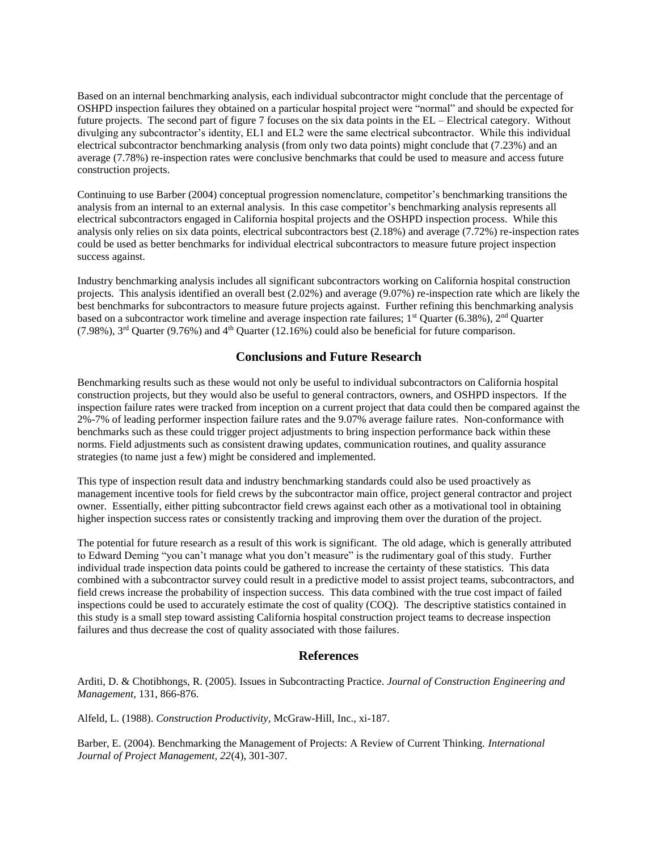Based on an internal benchmarking analysis, each individual subcontractor might conclude that the percentage of OSHPD inspection failures they obtained on a particular hospital project were "normal" and should be expected for future projects. The second part of figure 7 focuses on the six data points in the EL – Electrical category. Without divulging any subcontractor's identity, EL1 and EL2 were the same electrical subcontractor. While this individual electrical subcontractor benchmarking analysis (from only two data points) might conclude that (7.23%) and an average (7.78%) re-inspection rates were conclusive benchmarks that could be used to measure and access future construction projects.

Continuing to use Barber (2004) conceptual progression nomenclature, competitor's benchmarking transitions the analysis from an internal to an external analysis. In this case competitor's benchmarking analysis represents all electrical subcontractors engaged in California hospital projects and the OSHPD inspection process. While this analysis only relies on six data points, electrical subcontractors best (2.18%) and average (7.72%) re-inspection rates could be used as better benchmarks for individual electrical subcontractors to measure future project inspection success against.

Industry benchmarking analysis includes all significant subcontractors working on California hospital construction projects. This analysis identified an overall best (2.02%) and average (9.07%) re-inspection rate which are likely the best benchmarks for subcontractors to measure future projects against. Further refining this benchmarking analysis based on a subcontractor work timeline and average inspection rate failures; 1<sup>st</sup> Quarter (6.38%), 2<sup>nd</sup> Quarter (7.98%),  $3^{rd}$  Quarter (9.76%) and  $4^{th}$  Quarter (12.16%) could also be beneficial for future comparison.

## **Conclusions and Future Research**

Benchmarking results such as these would not only be useful to individual subcontractors on California hospital construction projects, but they would also be useful to general contractors, owners, and OSHPD inspectors. If the inspection failure rates were tracked from inception on a current project that data could then be compared against the 2%-7% of leading performer inspection failure rates and the 9.07% average failure rates. Non-conformance with benchmarks such as these could trigger project adjustments to bring inspection performance back within these norms. Field adjustments such as consistent drawing updates, communication routines, and quality assurance strategies (to name just a few) might be considered and implemented.

This type of inspection result data and industry benchmarking standards could also be used proactively as management incentive tools for field crews by the subcontractor main office, project general contractor and project owner. Essentially, either pitting subcontractor field crews against each other as a motivational tool in obtaining higher inspection success rates or consistently tracking and improving them over the duration of the project.

The potential for future research as a result of this work is significant. The old adage, which is generally attributed to Edward Deming "you can't manage what you don't measure" is the rudimentary goal of this study. Further individual trade inspection data points could be gathered to increase the certainty of these statistics. This data combined with a subcontractor survey could result in a predictive model to assist project teams, subcontractors, and field crews increase the probability of inspection success. This data combined with the true cost impact of failed inspections could be used to accurately estimate the cost of quality (COQ). The descriptive statistics contained in this study is a small step toward assisting California hospital construction project teams to decrease inspection failures and thus decrease the cost of quality associated with those failures.

#### **References**

Arditi, D. & Chotibhongs, R. (2005). Issues in Subcontracting Practice. *Journal of Construction Engineering and Management,* 131, 866-876.

Alfeld, L. (1988). *Construction Productivity*, McGraw-Hill, Inc., xi-187.

Barber, E. (2004). Benchmarking the Management of Projects: A Review of Current Thinking. *International Journal of Project Management, 22*(4), 301-307.